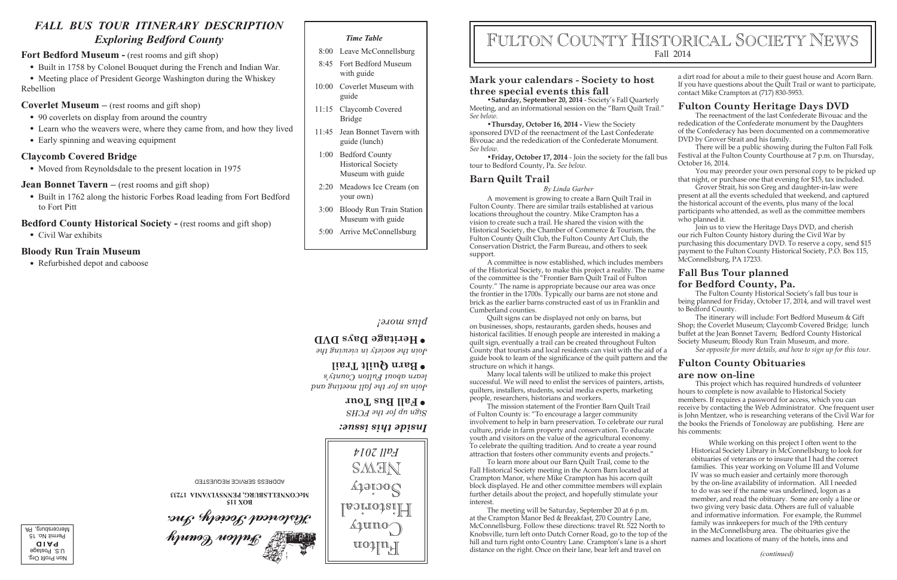### **Mark your calendars - Society to host three special events this fall**

•**Saturday, September 20, 2014** - Society's Fall Quarterly Meeting, and an informational session on the "Barn Quilt Trail." *See below.*

•**Thursday, October 16, 2014 -** View the Society sponsored DVD of the reenactment of the Last Confederate Bivouac and the rededication of the Confederate Monument.

#### **Barn Quilt Trail**

*By Linda Garber*

A movement is growing to create a Barn Quilt Trail in Fulton County. There are similar trails established at various locations throughout the country. Mike Crampton has a vision to create such a trail. He shared the vision with the Historical Society, the Chamber of Commerce & Tourism, the Fulton County Quilt Club, the Fulton County Art Club, the Conservation District, the Farm Bureau, and others to seek support.

A committee is now established, which includes members of the Historical Society, to make this project a reality. The name of the committee is the "Frontier Barn Quilt Trail of Fulton County." The name is appropriate because our area was once the frontier in the 1700s. Typically our barns are not stone and brick as the earlier barns constructed east of us in Franklin and Cumberland counties.

The meeting will be Saturday, September 20 at 6 p.m. at the Crampton Manor Bed & Breakfast, 270 Country Lane, McConnellsburg. Follow these directions: travel Rt. 522 North to Knobsville, turn left onto Dutch Corner Road, go to the top of the hill and turn right onto Country Lane. Crampton's lane is a short distance on the right. Once on their lane, bear left and travel on *(continued)* 

Quilt signs can be displayed not only on barns, but on businesses, shops, restaurants, garden sheds, houses and historical facilities. If enough people are interested in making a quilt sign, eventually a trail can be created throughout Fulton County that tourists and local residents can visit with the aid of a guide book to Ieam of the signicance of the quilt pattern and the structure on which it hangs.

Many local talents will be utilized to make this project successful. We will need to enlist the services of painters, artists, quilters, installers, students, social media experts, marketing people, researchers, historians and workers.

*See below.* •**Friday, October 17, 2014** - Join the society for the fall bus tour to Bedford County, Pa. *See below.* There will be a public showing during the Fulton Fall Folk Festival at the Fulton County Courthouse at 7 p.m. on Thursday, October 16, 2014.

> Join us to view the Heritage Days DVD, and cherish our rich Fulton County history during the Civil War by purchasing this documentary DVD. To reserve a copy, send \$15 payment to the Fulton County Historical Society, P.O. Box 115, McConnellsburg, PA 17233.

The mission statement of the Frontier Barn Quilt Trail of Fulton County is: "To encourage a larger community involvement to help in barn preservation. To celebrate our rural culture, pride in farm property and conservation. To educate youth and visitors on the value of the agricultural economy. To celebrate the quilting tradition. And to create a year round attraction that fosters other community events and projects."

To learn more about our Barn Quilt Trail, come to the Fall Historical Society meeting in the Acorn Barn located at Crampton Manor, where Mike Crampton has his acorn quilt block displayed. He and other committee members will explain further details about the project, and hopefully stimulate your interest.

a dirt road for about a mile to their guest house and Acorn Barn. If you have questions about the Quilt Trail or want to participate, contact Mike Crampton at (717) 830-5953.

- 90 coverlets on display from around the country
- Learn who the weavers were, where they came from, and how they lived
- Early spinning and weaving equipment

#### **Fulton County Heritage Days DVD**

The reenactment of the last Confederate Bivouac and the rededication of the Confederate monument by the Daughters of the Confederacy has been documented on a commemorative DVD by Grover Strait and his family.

You may preorder your own personal copy to be picked up that night, or purchase one that evening for \$15, tax included.

Grover Strait, his son Greg and daughter-in-law were present at all the events scheduled that weekend, and captured the historical account of the events, plus many of the local participants who attended, as well as the committee members who planned it.

### **Fall Bus Tour planned for Bedford County, Pa.**

The Fulton County Historical Society's fall bus tour is being planned for Friday, October 17, 2014, and will travel west to Bedford County.

The itinerary will include: Fort Bedford Museum & Gift Shop; the Coverlet Museum; Claycomb Covered Bridge; lunch buffet at the Jean Bonnet Tavern; Bedford County Historical Society Museum; Bloody Run Train Museum, and more.

*See opposite for more details, and how to sign up for this tour.*

#### **Fulton County Obituaries**

#### **are now on-line**

This project which has required hundreds of volunteer hours to complete is now available to Historical Society members. If requires a password for access, which you can receive by contacting the Web Administrator. One frequent user is John Mentzer, who is researching veterans of the Civil War for the books the Friends of Tonoloway are publishing. Here are his comments:

While working on this project I often went to the Historical Society Library in McConnellsburg to look for obituaries of veterans or to insure that I had the correct families. This year working on Volume III and Volume IV was so much easier and certainly more thorough by the on-line availability of information. All I needed to do was see if the name was underlined, logon as a member, and read the obituary. Some are only a line or two giving very basic data. Others are full of valuable and informative information. For example, the Rummel family was innkeepers for much of the 19th century in the McConnellsburg area. The obituaries give the names and locations of many of the hotels, inns and

# FULTON COUNTY HISTORICAL SOCIETY NEWS Fall 2014

# *FALL BUS TOUR ITINERARY DESCRIPTION Exploring Bedford County*

#### **Fort Bedford Museum -** (rest rooms and gift shop)

- Built in 1758 by Colonel Bouquet during the French and Indian War.
- Meeting place of President George Washington during the Whiskey Rebellion

#### **Coverlet Museum –** (rest rooms and gift shop)

### **Claycomb Covered Bridge**

• Moved from Reynoldsdale to the present location in 1975

#### **Jean Bonnet Tavern** – (rest rooms and gift shop)

• Built in 1762 along the historic Forbes Road leading from Fort Bedford to Fort Pitt

#### **Bedford County Historical Society -** (rest rooms and gift shop)

• Civil War exhibits

#### **Bloody Run Train Museum**

• Refurbished depot and caboose

#### *Time Table*

- 8:00 Leave McConnellsburg
- 8:45 Fort Bedford Museum with guide
- 10:00 Coverlet Museum with guide
- 11:15 Claycomb Covered Bridge
- 11:45 Jean Bonnet Tavern with guide (lunch)
- 1:00 Bedford County Historical Society Museum with guide
- 2:20 Meadows Ice Cream (on your own)
- 3:00 Bloody Run Train Station Museum with guide
- 5:00 Arrive McConnellsburg





*Inside this issue:*

*Sign up for the FCHS*

# **Fall Bus Tour •**

*Join us for the fall meeting and learn about Fulton County's*

## **Barn Quilt Trail •**

*Join the society in viewing the*

# **Heritage Days DVD •**

#### *plus more!*